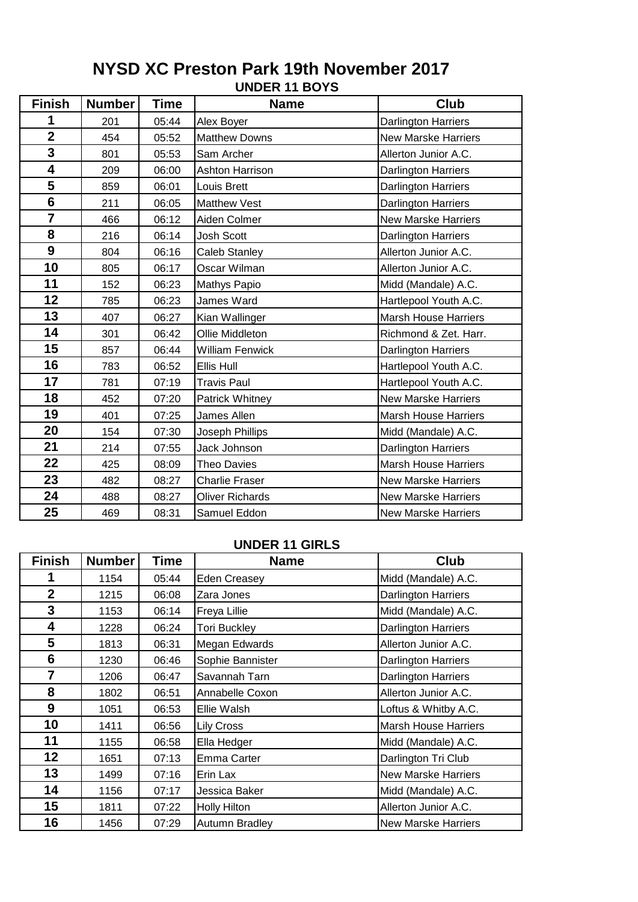| <b>Finish</b>  | <b>Number</b> | <b>Time</b> | <b>Name</b>            | <b>Club</b>                 |
|----------------|---------------|-------------|------------------------|-----------------------------|
| 1              | 201           | 05:44       | Alex Boyer             | Darlington Harriers         |
| $\overline{2}$ | 454           | 05:52       | <b>Matthew Downs</b>   | <b>New Marske Harriers</b>  |
| 3              | 801           | 05:53       | Sam Archer             | Allerton Junior A.C.        |
| 4              | 209           | 06:00       | <b>Ashton Harrison</b> | Darlington Harriers         |
| 5              | 859           | 06:01       | Louis Brett            | Darlington Harriers         |
| 6              | 211           | 06:05       | <b>Matthew Vest</b>    | Darlington Harriers         |
| $\overline{7}$ | 466           | 06:12       | Aiden Colmer           | <b>New Marske Harriers</b>  |
| 8              | 216           | 06:14       | Josh Scott             | Darlington Harriers         |
| 9              | 804           | 06:16       | <b>Caleb Stanley</b>   | Allerton Junior A.C.        |
| 10             | 805           | 06:17       | Oscar Wilman           | Allerton Junior A.C.        |
| 11             | 152           | 06:23       | Mathys Papio           | Midd (Mandale) A.C.         |
| 12             | 785           | 06:23       | James Ward             | Hartlepool Youth A.C.       |
| 13             | 407           | 06:27       | Kian Wallinger         | <b>Marsh House Harriers</b> |
| 14             | 301           | 06:42       | Ollie Middleton        | Richmond & Zet. Harr.       |
| 15             | 857           | 06:44       | <b>William Fenwick</b> | Darlington Harriers         |
| 16             | 783           | 06:52       | Ellis Hull             | Hartlepool Youth A.C.       |
| 17             | 781           | 07:19       | <b>Travis Paul</b>     | Hartlepool Youth A.C.       |
| 18             | 452           | 07:20       | Patrick Whitney        | <b>New Marske Harriers</b>  |
| 19             | 401           | 07:25       | James Allen            | <b>Marsh House Harriers</b> |
| 20             | 154           | 07:30       | Joseph Phillips        | Midd (Mandale) A.C.         |
| 21             | 214           | 07:55       | Jack Johnson           | <b>Darlington Harriers</b>  |
| 22             | 425           | 08:09       | <b>Theo Davies</b>     | <b>Marsh House Harriers</b> |
| 23             | 482           | 08:27       | <b>Charlie Fraser</b>  | <b>New Marske Harriers</b>  |
| 24             | 488           | 08:27       | <b>Oliver Richards</b> | <b>New Marske Harriers</b>  |
| 25             | 469           | 08:31       | Samuel Eddon           | <b>New Marske Harriers</b>  |

# **UNDER 11 BOYS NYSD XC Preston Park 19th November 2017**

### **UNDER 11 GIRLS**

| <b>Finish</b>   | <b>Number</b> | <b>Time</b> | <b>Name</b>           | <b>Club</b>                 |
|-----------------|---------------|-------------|-----------------------|-----------------------------|
| 1               | 1154          | 05:44       | Eden Creasey          | Midd (Mandale) A.C.         |
| $\overline{2}$  | 1215          | 06:08       | Zara Jones            | <b>Darlington Harriers</b>  |
| 3               | 1153          | 06:14       | Freya Lillie          | Midd (Mandale) A.C.         |
| 4               | 1228          | 06:24       | <b>Tori Buckley</b>   | <b>Darlington Harriers</b>  |
| $5\overline{)}$ | 1813          | 06:31       | Megan Edwards         | Allerton Junior A.C.        |
| 6               | 1230          | 06:46       | Sophie Bannister      | Darlington Harriers         |
| $\overline{7}$  | 1206          | 06:47       | Savannah Tarn         | <b>Darlington Harriers</b>  |
| 8               | 1802          | 06:51       | Annabelle Coxon       | Allerton Junior A.C.        |
| 9               | 1051          | 06:53       | Ellie Walsh           | Loftus & Whitby A.C.        |
| 10              | 1411          | 06:56       | <b>Lily Cross</b>     | <b>Marsh House Harriers</b> |
| 11              | 1155          | 06:58       | Ella Hedger           | Midd (Mandale) A.C.         |
| 12              | 1651          | 07:13       | Emma Carter           | Darlington Tri Club         |
| 13              | 1499          | 07:16       | Erin Lax              | <b>New Marske Harriers</b>  |
| 14              | 1156          | 07:17       | Jessica Baker         | Midd (Mandale) A.C.         |
| 15              | 1811          | 07:22       | <b>Holly Hilton</b>   | Allerton Junior A.C.        |
| 16              | 1456          | 07:29       | <b>Autumn Bradley</b> | <b>New Marske Harriers</b>  |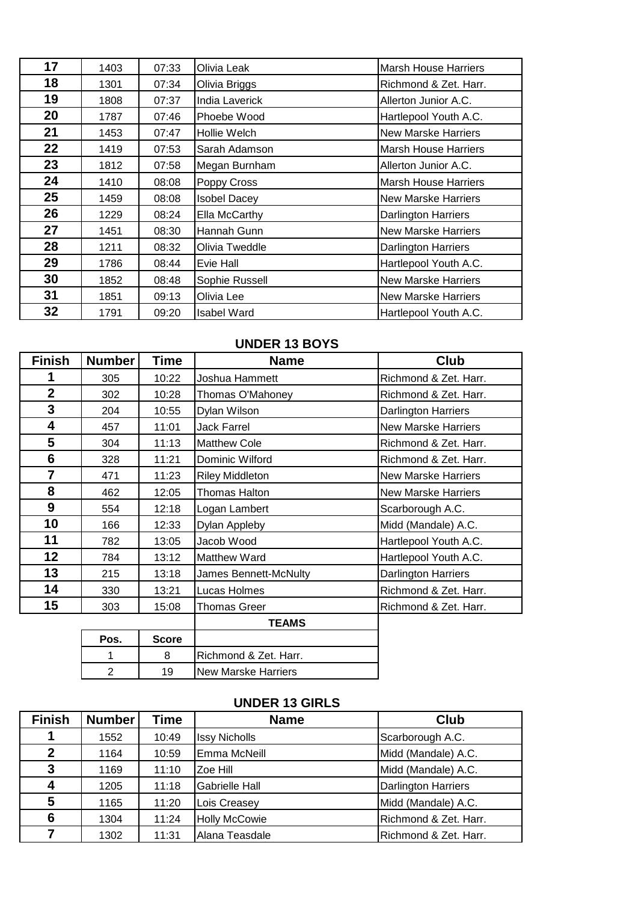| 17 | 1403 | 07:33 | Olivia Leak         | <b>Marsh House Harriers</b> |
|----|------|-------|---------------------|-----------------------------|
| 18 | 1301 | 07:34 | Olivia Briggs       | Richmond & Zet. Harr.       |
| 19 | 1808 | 07:37 | India Laverick      | Allerton Junior A.C.        |
| 20 | 1787 | 07:46 | Phoebe Wood         | Hartlepool Youth A.C.       |
| 21 | 1453 | 07:47 | Hollie Welch        | <b>New Marske Harriers</b>  |
| 22 | 1419 | 07:53 | Sarah Adamson       | <b>Marsh House Harriers</b> |
| 23 | 1812 | 07:58 | Megan Burnham       | Allerton Junior A.C.        |
| 24 | 1410 | 08:08 | Poppy Cross         | <b>Marsh House Harriers</b> |
| 25 | 1459 | 08:08 | <b>Isobel Dacey</b> | <b>New Marske Harriers</b>  |
| 26 | 1229 | 08:24 | Ella McCarthy       | <b>Darlington Harriers</b>  |
| 27 | 1451 | 08:30 | Hannah Gunn         | <b>New Marske Harriers</b>  |
| 28 | 1211 | 08:32 | Olivia Tweddle      | <b>Darlington Harriers</b>  |
| 29 | 1786 | 08:44 | Evie Hall           | Hartlepool Youth A.C.       |
| 30 | 1852 | 08:48 | Sophie Russell      | <b>New Marske Harriers</b>  |
| 31 | 1851 | 09:13 | Olivia Lee          | <b>New Marske Harriers</b>  |
| 32 | 1791 | 09:20 | <b>Isabel Ward</b>  | Hartlepool Youth A.C.       |

### **UNDER 13 BOYS**

| <b>Finish</b>  | <b>Number</b>  | Time         | <b>Name</b>                | <b>Club</b>                |
|----------------|----------------|--------------|----------------------------|----------------------------|
| 1              | 305            | 10:22        | Joshua Hammett             | Richmond & Zet. Harr.      |
| $\overline{2}$ | 302            | 10:28        | Thomas O'Mahoney           | Richmond & Zet. Harr.      |
| 3              | 204            | 10:55        | Dylan Wilson               | Darlington Harriers        |
| 4              | 457            | 11:01        | <b>Jack Farrel</b>         | <b>New Marske Harriers</b> |
| 5              | 304            | 11:13        | <b>Matthew Cole</b>        | Richmond & Zet. Harr.      |
| 6              | 328            | 11:21        | Dominic Wilford            | Richmond & Zet. Harr.      |
| $\overline{7}$ | 471            | 11:23        | <b>Riley Middleton</b>     | <b>New Marske Harriers</b> |
| 8              | 462            | 12:05        | <b>Thomas Halton</b>       | <b>New Marske Harriers</b> |
| 9              | 554            | 12:18        | Logan Lambert              | Scarborough A.C.           |
| 10             | 166            | 12:33        | Dylan Appleby              | Midd (Mandale) A.C.        |
| 11             | 782            | 13:05        | Jacob Wood                 | Hartlepool Youth A.C.      |
| 12             | 784            | 13:12        | <b>Matthew Ward</b>        | Hartlepool Youth A.C.      |
| 13             | 215            | 13:18        | James Bennett-McNulty      | <b>Darlington Harriers</b> |
| 14             | 330            | 13:21        | Lucas Holmes               | Richmond & Zet. Harr.      |
| 15             | 303            | 15:08        | <b>Thomas Greer</b>        | Richmond & Zet. Harr.      |
|                |                |              | <b>TEAMS</b>               |                            |
|                | Pos.           | <b>Score</b> |                            |                            |
|                |                | 8            | Richmond & Zet. Harr.      |                            |
|                | $\overline{2}$ | 19           | <b>New Marske Harriers</b> |                            |

# **UNDER 13 GIRLS**

| <b>Finish</b> | <b>Number</b> | Time  | <b>Name</b>           | <b>Club</b>                |
|---------------|---------------|-------|-----------------------|----------------------------|
| 1             | 1552          | 10:49 | <b>Issy Nicholls</b>  | Scarborough A.C.           |
| $\mathbf{2}$  | 1164          | 10:59 | Emma McNeill          | Midd (Mandale) A.C.        |
| 3             | 1169          | 11:10 | Zoe Hill              | Midd (Mandale) A.C.        |
| 4             | 1205          | 11:18 | <b>Gabrielle Hall</b> | <b>Darlington Harriers</b> |
| 5             | 1165          | 11:20 | Lois Creasey          | Midd (Mandale) A.C.        |
| 6             | 1304          | 11:24 | <b>Holly McCowie</b>  | Richmond & Zet. Harr.      |
| 7             | 1302          | 11:31 | Alana Teasdale        | Richmond & Zet. Harr.      |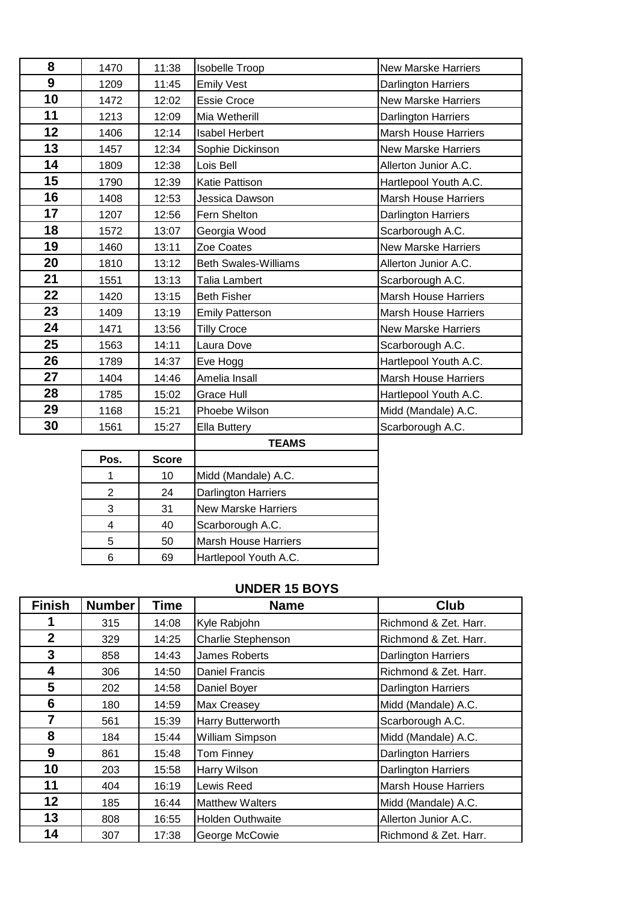| 8  | 1470 | 11:38 | <b>Isobelle Troop</b>       | <b>New Marske Harriers</b>  |
|----|------|-------|-----------------------------|-----------------------------|
| 9  | 1209 | 11:45 | <b>Emily Vest</b>           | Darlington Harriers         |
| 10 | 1472 | 12:02 | <b>Essie Croce</b>          | <b>New Marske Harriers</b>  |
| 11 | 1213 | 12:09 | Mia Wetherill               | Darlington Harriers         |
| 12 | 1406 | 12:14 | <b>Isabel Herbert</b>       | <b>Marsh House Harriers</b> |
| 13 | 1457 | 12:34 | Sophie Dickinson            | <b>New Marske Harriers</b>  |
| 14 | 1809 | 12:38 | Lois Bell                   | Allerton Junior A.C.        |
| 15 | 1790 | 12:39 | <b>Katie Pattison</b>       | Hartlepool Youth A.C.       |
| 16 | 1408 | 12:53 | Jessica Dawson              | <b>Marsh House Harriers</b> |
| 17 | 1207 | 12:56 | Fern Shelton                | Darlington Harriers         |
| 18 | 1572 | 13:07 | Georgia Wood                | Scarborough A.C.            |
| 19 | 1460 | 13:11 | Zoe Coates                  | <b>New Marske Harriers</b>  |
| 20 | 1810 | 13:12 | <b>Beth Swales-Williams</b> | Allerton Junior A.C.        |
| 21 | 1551 | 13:13 | Talia Lambert               | Scarborough A.C.            |
| 22 | 1420 | 13:15 | <b>Beth Fisher</b>          | <b>Marsh House Harriers</b> |
| 23 | 1409 | 13:19 | <b>Emily Patterson</b>      | Marsh House Harriers        |
| 24 | 1471 | 13:56 | <b>Tilly Croce</b>          | <b>New Marske Harriers</b>  |
| 25 | 1563 | 14:11 | Laura Dove                  | Scarborough A.C.            |
| 26 | 1789 | 14:37 | Eve Hogg                    | Hartlepool Youth A.C.       |
| 27 | 1404 | 14:46 | Amelia Insall               | <b>Marsh House Harriers</b> |
| 28 | 1785 | 15:02 | Grace Hull                  | Hartlepool Youth A.C.       |
| 29 | 1168 | 15:21 | Phoebe Wilson               | Midd (Mandale) A.C.         |
| 30 | 1561 | 15:27 | Ella Buttery                | Scarborough A.C.            |
|    |      |       | TE ABAQ                     |                             |

|      |              | <b>TEAMS</b>                |
|------|--------------|-----------------------------|
| Pos. | <b>Score</b> |                             |
|      | 10           | Midd (Mandale) A.C.         |
| 2    | 24           | <b>Darlington Harriers</b>  |
| 3    | 31           | <b>New Marske Harriers</b>  |
|      | 40           | Scarborough A.C.            |
| 5    | 50           | <b>Marsh House Harriers</b> |
|      | 69           | Hartlepool Youth A.C.       |

### **UNDER 15 BOYS**

| <b>Finish</b>  | <b>Number</b> | <b>Time</b> | <b>Name</b>             | <b>Club</b>                 |
|----------------|---------------|-------------|-------------------------|-----------------------------|
|                | 315           | 14:08       | Kyle Rabjohn            | Richmond & Zet. Harr.       |
| $\overline{2}$ | 329           | 14:25       | Charlie Stephenson      | Richmond & Zet. Harr.       |
| $\mathbf{3}$   | 858           | 14:43       | James Roberts           | <b>Darlington Harriers</b>  |
| 4              | 306           | 14:50       | <b>Daniel Francis</b>   | Richmond & Zet. Harr.       |
| 5              | 202           | 14:58       | Daniel Boyer            | <b>Darlington Harriers</b>  |
| 6              | 180           | 14:59       | Max Creasey             | Midd (Mandale) A.C.         |
| 7              | 561           | 15:39       | Harry Butterworth       | Scarborough A.C.            |
| 8              | 184           | 15:44       | William Simpson         | Midd (Mandale) A.C.         |
| 9              | 861           | 15:48       | Tom Finney              | <b>Darlington Harriers</b>  |
| 10             | 203           | 15:58       | Harry Wilson            | <b>Darlington Harriers</b>  |
| 11             | 404           | 16:19       | Lewis Reed              | <b>Marsh House Harriers</b> |
| 12             | 185           | 16:44       | <b>Matthew Walters</b>  | Midd (Mandale) A.C.         |
| 13             | 808           | 16:55       | <b>Holden Outhwaite</b> | Allerton Junior A.C.        |
| 14             | 307           | 17:38       | George McCowie          | Richmond & Zet. Harr.       |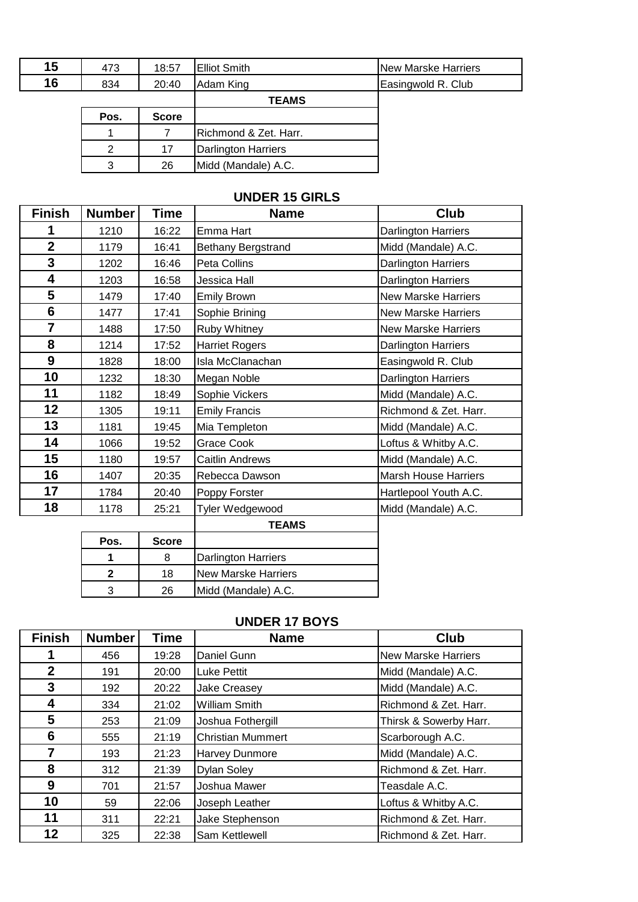| 15 | 473  | 18:57        | <b>Elliot Smith</b>        | <b>New Marske Harriers</b> |
|----|------|--------------|----------------------------|----------------------------|
| 16 | 834  | 20:40        | Adam King                  | Easingwold R. Club         |
|    |      |              | <b>TEAMS</b>               |                            |
|    | Pos. | <b>Score</b> |                            |                            |
|    |      |              | Richmond & Zet. Harr.      |                            |
|    | 2    | 17           | <b>Darlington Harriers</b> |                            |
|    | 3    | 26           | Midd (Mandale) A.C.        |                            |

### **UNDER 15 GIRLS**

| <b>Finish</b>           | <b>Number</b>           | <b>Time</b>  | <b>Name</b>                | Club                        |
|-------------------------|-------------------------|--------------|----------------------------|-----------------------------|
| 1                       | 1210                    | 16:22        | Emma Hart                  | <b>Darlington Harriers</b>  |
| $\overline{\mathbf{2}}$ | 1179                    | 16:41        | Bethany Bergstrand         | Midd (Mandale) A.C.         |
| 3                       | 1202                    | 16:46        | Peta Collins               | Darlington Harriers         |
| 4                       | 1203                    | 16:58        | Jessica Hall               | Darlington Harriers         |
| 5                       | 1479                    | 17:40        | <b>Emily Brown</b>         | <b>New Marske Harriers</b>  |
| 6                       | 1477                    | 17:41        | Sophie Brining             | <b>New Marske Harriers</b>  |
| $\overline{7}$          | 1488                    | 17:50        | Ruby Whitney               | <b>New Marske Harriers</b>  |
| 8                       | 1214                    | 17:52        | <b>Harriet Rogers</b>      | Darlington Harriers         |
| 9                       | 1828                    | 18:00        | Isla McClanachan           | Easingwold R. Club          |
| 10                      | 1232                    | 18:30        | Megan Noble                | Darlington Harriers         |
| 11                      | 1182                    | 18:49        | Sophie Vickers             | Midd (Mandale) A.C.         |
| 12                      | 1305                    | 19:11        | <b>Emily Francis</b>       | Richmond & Zet. Harr.       |
| 13                      | 1181                    | 19:45        | Mia Templeton              | Midd (Mandale) A.C.         |
| 14                      | 1066                    | 19:52        | Grace Cook                 | Loftus & Whitby A.C.        |
| 15                      | 1180                    | 19:57        | <b>Caitlin Andrews</b>     | Midd (Mandale) A.C.         |
| 16                      | 1407                    | 20:35        | Rebecca Dawson             | <b>Marsh House Harriers</b> |
| 17                      | 1784                    | 20:40        | Poppy Forster              | Hartlepool Youth A.C.       |
| 18                      | 1178                    | 25:21        | Tyler Wedgewood            | Midd (Mandale) A.C.         |
|                         |                         |              | <b>TEAMS</b>               |                             |
|                         | Pos.                    | <b>Score</b> |                            |                             |
|                         | 1                       | 8            | Darlington Harriers        |                             |
|                         | $\overline{\mathbf{2}}$ | 18           | <b>New Marske Harriers</b> |                             |
|                         | 3                       | 26           | Midd (Mandale) A.C.        |                             |

### **UNDER 17 BOYS**

| <b>Finish</b> | <b>Number</b> | <b>Time</b> | <b>Name</b>              | <b>Club</b>                |
|---------------|---------------|-------------|--------------------------|----------------------------|
|               | 456           | 19:28       | Daniel Gunn              | <b>New Marske Harriers</b> |
| $\mathbf 2$   | 191           | 20:00       | <b>Luke Pettit</b>       | Midd (Mandale) A.C.        |
| 3             | 192           | 20:22       | Jake Creasey             | Midd (Mandale) A.C.        |
| 4             | 334           | 21:02       | <b>William Smith</b>     | Richmond & Zet. Harr.      |
| 5             | 253           | 21:09       | Joshua Fothergill        | Thirsk & Sowerby Harr.     |
| 6             | 555           | 21:19       | <b>Christian Mummert</b> | Scarborough A.C.           |
| 7             | 193           | 21:23       | Harvey Dunmore           | Midd (Mandale) A.C.        |
| 8             | 312           | 21:39       | <b>Dylan Soley</b>       | Richmond & Zet. Harr.      |
| 9             | 701           | 21:57       | Joshua Mawer             | Teasdale A.C.              |
| 10            | 59            | 22:06       | Joseph Leather           | Loftus & Whitby A.C.       |
| 11            | 311           | 22:21       | Jake Stephenson          | Richmond & Zet. Harr.      |
| 12            | 325           | 22:38       | Sam Kettlewell           | Richmond & Zet. Harr.      |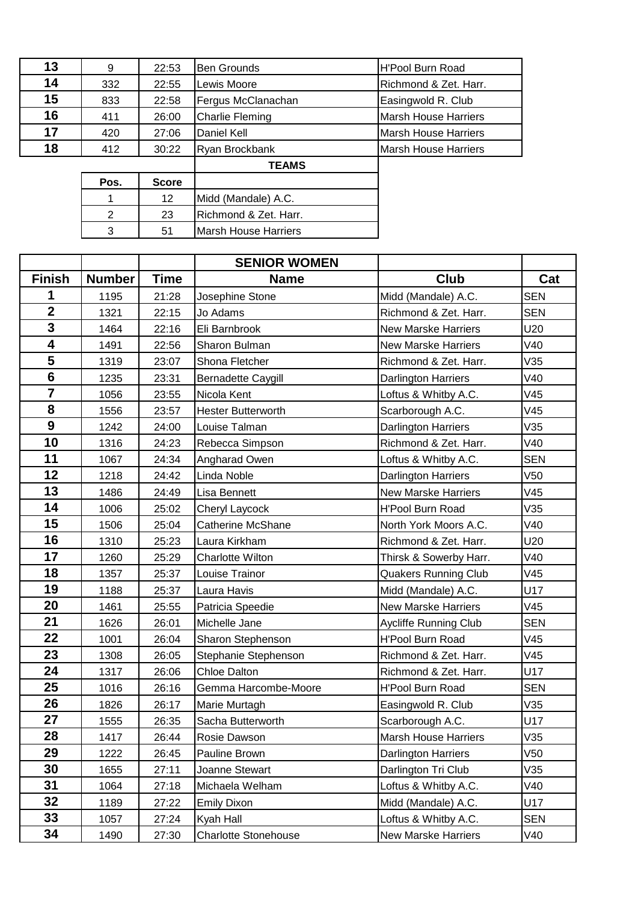| 13 | 9    | 22:53        | <b>Ben Grounds</b>     | <b>H'Pool Burn Road</b>     |
|----|------|--------------|------------------------|-----------------------------|
| 14 | 332  | 22:55        | Lewis Moore            | Richmond & Zet. Harr.       |
| 15 | 833  | 22:58        | Fergus McClanachan     | Easingwold R. Club          |
| 16 | 411  | 26:00        | <b>Charlie Fleming</b> | <b>Marsh House Harriers</b> |
| 17 | 420  | 27:06        | Daniel Kell            | Marsh House Harriers        |
| 18 | 412  | 30:22        | Ryan Brockbank         | <b>Marsh House Harriers</b> |
|    |      |              | <b>TEAMS</b>           |                             |
|    | Pos. | <b>Score</b> |                        |                             |
|    |      | 12           | Midd (Mandale) A.C.    |                             |
|    | 2    | 23           | Richmond & Zet. Harr.  |                             |
|    | 3    | 51           | Marsh House Harriers   |                             |

|                         |               |             | <b>SENIOR WOMEN</b>         |                             |            |
|-------------------------|---------------|-------------|-----------------------------|-----------------------------|------------|
| <b>Finish</b>           | <b>Number</b> | <b>Time</b> | <b>Name</b>                 | Club                        | Cat        |
| 1                       | 1195          | 21:28       | Josephine Stone             | Midd (Mandale) A.C.         | <b>SEN</b> |
| $\overline{\mathbf{2}}$ | 1321          | 22:15       | Jo Adams                    | Richmond & Zet. Harr.       | <b>SEN</b> |
| $\overline{\mathbf{3}}$ | 1464          | 22:16       | Eli Barnbrook               | <b>New Marske Harriers</b>  | U20        |
| $\overline{\mathbf{4}}$ | 1491          | 22:56       | Sharon Bulman               | <b>New Marske Harriers</b>  | V40        |
| 5                       | 1319          | 23:07       | Shona Fletcher              | Richmond & Zet. Harr.       | V35        |
| $6\phantom{1}$          | 1235          | 23:31       | <b>Bernadette Caygill</b>   | <b>Darlington Harriers</b>  | V40        |
| $\overline{7}$          | 1056          | 23:55       | Nicola Kent                 | Loftus & Whitby A.C.        | V45        |
| 8                       | 1556          | 23:57       | <b>Hester Butterworth</b>   | Scarborough A.C.            | V45        |
| $\boldsymbol{9}$        | 1242          | 24:00       | Louise Talman               | <b>Darlington Harriers</b>  | V35        |
| 10                      | 1316          | 24:23       | Rebecca Simpson             | Richmond & Zet. Harr.       | V40        |
| 11                      | 1067          | 24:34       | Angharad Owen               | Loftus & Whitby A.C.        | <b>SEN</b> |
| 12                      | 1218          | 24:42       | Linda Noble                 | Darlington Harriers         | V50        |
| 13                      | 1486          | 24:49       | Lisa Bennett                | <b>New Marske Harriers</b>  | V45        |
| 14                      | 1006          | 25:02       | Cheryl Laycock              | H'Pool Burn Road            | V35        |
| 15                      | 1506          | 25:04       | <b>Catherine McShane</b>    | North York Moors A.C.       | V40        |
| 16                      | 1310          | 25:23       | Laura Kirkham               | Richmond & Zet. Harr.       | U20        |
| 17                      | 1260          | 25:29       | <b>Charlotte Wilton</b>     | Thirsk & Sowerby Harr.      | V40        |
| 18                      | 1357          | 25:37       | Louise Trainor              | <b>Quakers Running Club</b> | V45        |
| 19                      | 1188          | 25:37       | Laura Havis                 | Midd (Mandale) A.C.         | U17        |
| 20                      | 1461          | 25:55       | Patricia Speedie            | <b>New Marske Harriers</b>  | V45        |
| 21                      | 1626          | 26:01       | Michelle Jane               | Aycliffe Running Club       | <b>SEN</b> |
| 22                      | 1001          | 26:04       | Sharon Stephenson           | <b>H'Pool Burn Road</b>     | V45        |
| 23                      | 1308          | 26:05       | Stephanie Stephenson        | Richmond & Zet. Harr.       | V45        |
| 24                      | 1317          | 26:06       | <b>Chloe Dalton</b>         | Richmond & Zet. Harr.       | U17        |
| 25                      | 1016          | 26:16       | Gemma Harcombe-Moore        | H'Pool Burn Road            | <b>SEN</b> |
| 26                      | 1826          | 26:17       | Marie Murtagh               | Easingwold R. Club          | V35        |
| 27                      | 1555          | 26:35       | Sacha Butterworth           | Scarborough A.C.            | U17        |
| 28                      | 1417          | 26:44       | Rosie Dawson                | Marsh House Harriers        | V35        |
| 29                      | 1222          | 26:45       | Pauline Brown               | <b>Darlington Harriers</b>  | V50        |
| 30                      | 1655          | 27:11       | Joanne Stewart              | Darlington Tri Club         | V35        |
| 31                      | 1064          | 27:18       | Michaela Welham             | Loftus & Whitby A.C.        | V40        |
| 32                      | 1189          | 27:22       | <b>Emily Dixon</b>          | Midd (Mandale) A.C.         | U17        |
| 33                      | 1057          | 27:24       | Kyah Hall                   | Loftus & Whitby A.C.        | <b>SEN</b> |
| 34                      | 1490          | 27:30       | <b>Charlotte Stonehouse</b> | <b>New Marske Harriers</b>  | V40        |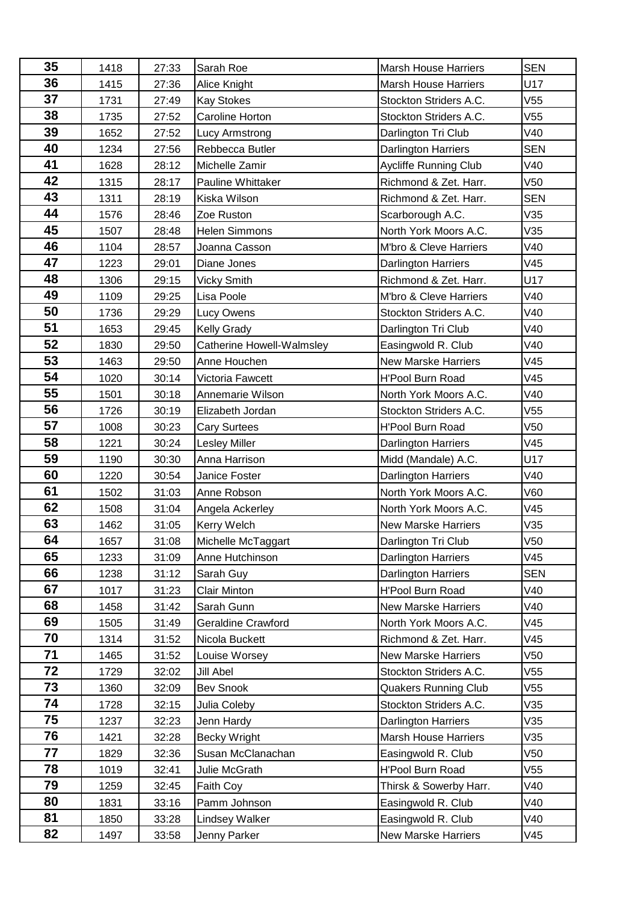| 35 | 1418 | 27:33 | Sarah Roe                        | <b>Marsh House Harriers</b>  | <b>SEN</b> |
|----|------|-------|----------------------------------|------------------------------|------------|
| 36 | 1415 | 27:36 | Alice Knight                     | <b>Marsh House Harriers</b>  | U17        |
| 37 | 1731 | 27:49 | <b>Kay Stokes</b>                | Stockton Striders A.C.       | V55        |
| 38 | 1735 | 27:52 | Caroline Horton                  | Stockton Striders A.C.       | V55        |
| 39 | 1652 | 27:52 | Lucy Armstrong                   | Darlington Tri Club          | V40        |
| 40 | 1234 | 27:56 | Rebbecca Butler                  | <b>Darlington Harriers</b>   | <b>SEN</b> |
| 41 | 1628 | 28:12 | Michelle Zamir                   | <b>Aycliffe Running Club</b> | V40        |
| 42 | 1315 | 28:17 | <b>Pauline Whittaker</b>         | Richmond & Zet. Harr.        | V50        |
| 43 | 1311 | 28:19 | Kiska Wilson                     | Richmond & Zet. Harr.        | <b>SEN</b> |
| 44 | 1576 | 28:46 | Zoe Ruston                       | Scarborough A.C.             | V35        |
| 45 | 1507 | 28:48 | <b>Helen Simmons</b>             | North York Moors A.C.        | V35        |
| 46 | 1104 | 28:57 | Joanna Casson                    | M'bro & Cleve Harriers       | V40        |
| 47 | 1223 | 29:01 | Diane Jones                      | <b>Darlington Harriers</b>   | V45        |
| 48 | 1306 | 29:15 | <b>Vicky Smith</b>               | Richmond & Zet. Harr.        | U17        |
| 49 | 1109 | 29:25 | Lisa Poole                       | M'bro & Cleve Harriers       | V40        |
| 50 | 1736 | 29:29 | Lucy Owens                       | Stockton Striders A.C.       | V40        |
| 51 | 1653 | 29:45 | <b>Kelly Grady</b>               | Darlington Tri Club          | V40        |
| 52 | 1830 | 29:50 | <b>Catherine Howell-Walmsley</b> | Easingwold R. Club           | V40        |
| 53 | 1463 | 29:50 | Anne Houchen                     | <b>New Marske Harriers</b>   | V45        |
| 54 | 1020 | 30:14 | Victoria Fawcett                 | <b>H'Pool Burn Road</b>      | V45        |
| 55 | 1501 | 30:18 | Annemarie Wilson                 | North York Moors A.C.        | V40        |
| 56 | 1726 | 30:19 | Elizabeth Jordan                 | Stockton Striders A.C.       | V55        |
| 57 | 1008 | 30:23 | <b>Cary Surtees</b>              | <b>H'Pool Burn Road</b>      | V50        |
| 58 | 1221 | 30:24 | Lesley Miller                    | Darlington Harriers          | V45        |
| 59 | 1190 | 30:30 | Anna Harrison                    | Midd (Mandale) A.C.          | U17        |
| 60 | 1220 | 30:54 | Janice Foster                    | Darlington Harriers          | V40        |
| 61 | 1502 | 31:03 | Anne Robson                      | North York Moors A.C.        | V60        |
| 62 | 1508 | 31:04 | Angela Ackerley                  | North York Moors A.C.        | V45        |
| 63 | 1462 | 31:05 | Kerry Welch                      | <b>New Marske Harriers</b>   | V35        |
| 64 | 1657 | 31:08 | Michelle McTaggart               | Darlington Tri Club          | V50        |
| 65 | 1233 | 31:09 | Anne Hutchinson                  | <b>Darlington Harriers</b>   | V45        |
| 66 | 1238 | 31:12 | Sarah Guy                        | Darlington Harriers          | <b>SEN</b> |
| 67 | 1017 | 31:23 | <b>Clair Minton</b>              | H'Pool Burn Road             | V40        |
| 68 | 1458 | 31:42 | Sarah Gunn                       | <b>New Marske Harriers</b>   | V40        |
| 69 | 1505 | 31:49 | <b>Geraldine Crawford</b>        | North York Moors A.C.        | V45        |
| 70 | 1314 | 31:52 | Nicola Buckett                   | Richmond & Zet. Harr.        | V45        |
| 71 | 1465 | 31:52 | Louise Worsey                    | <b>New Marske Harriers</b>   | V50        |
| 72 | 1729 | 32:02 | <b>Jill Abel</b>                 | Stockton Striders A.C.       | V55        |
| 73 | 1360 | 32:09 | <b>Bev Snook</b>                 | <b>Quakers Running Club</b>  | V55        |
| 74 | 1728 | 32:15 | Julia Coleby                     | Stockton Striders A.C.       | V35        |
| 75 | 1237 | 32:23 | Jenn Hardy                       | <b>Darlington Harriers</b>   | V35        |
| 76 | 1421 | 32:28 | Becky Wright                     | <b>Marsh House Harriers</b>  | V35        |
| 77 | 1829 | 32:36 | Susan McClanachan                | Easingwold R. Club           | V50        |
| 78 | 1019 | 32:41 | Julie McGrath                    | <b>H'Pool Burn Road</b>      | V55        |
| 79 | 1259 | 32:45 | Faith Coy                        | Thirsk & Sowerby Harr.       | V40        |
| 80 | 1831 | 33:16 | Pamm Johnson                     | Easingwold R. Club           | V40        |
| 81 | 1850 | 33:28 | <b>Lindsey Walker</b>            | Easingwold R. Club           | V40        |
| 82 | 1497 | 33:58 | Jenny Parker                     | <b>New Marske Harriers</b>   | V45        |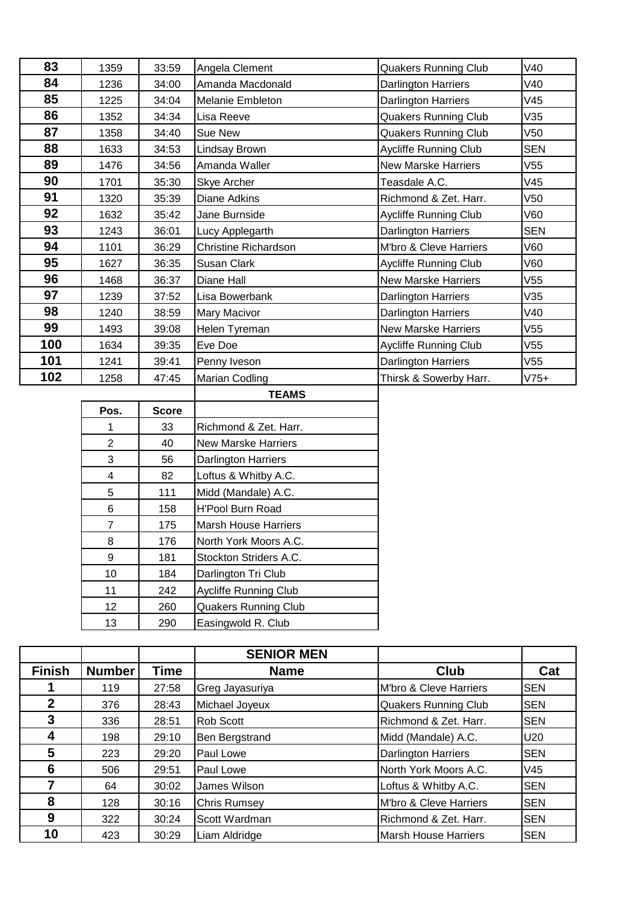| 83  | 1359 | 33:59 | Angela Clement              | <b>Quakers Running Club</b>  | V40             |
|-----|------|-------|-----------------------------|------------------------------|-----------------|
| 84  | 1236 | 34:00 | Amanda Macdonald            | Darlington Harriers          | V40             |
| 85  | 1225 | 34:04 | <b>Melanie Embleton</b>     | <b>Darlington Harriers</b>   | V45             |
| 86  | 1352 | 34:34 | Lisa Reeve                  | <b>Quakers Running Club</b>  | V35             |
| 87  | 1358 | 34:40 | Sue New                     | <b>Quakers Running Club</b>  | V50             |
| 88  | 1633 | 34:53 | Lindsay Brown               | <b>Aycliffe Running Club</b> | <b>SEN</b>      |
| 89  | 1476 | 34:56 | Amanda Waller               | <b>New Marske Harriers</b>   | V55             |
| 90  | 1701 | 35:30 | Skye Archer                 | Teasdale A.C.                | V45             |
| 91  | 1320 | 35:39 | Diane Adkins                | Richmond & Zet. Harr.        | V50             |
| 92  | 1632 | 35:42 | Jane Burnside               | Aycliffe Running Club        | V60             |
| 93  | 1243 | 36:01 | Lucy Applegarth             | <b>Darlington Harriers</b>   | <b>SEN</b>      |
| 94  | 1101 | 36:29 | <b>Christine Richardson</b> | M'bro & Cleve Harriers       | V60             |
| 95  | 1627 | 36:35 | Susan Clark                 | Aycliffe Running Club        | V60             |
| 96  | 1468 | 36:37 | Diane Hall                  | <b>New Marske Harriers</b>   | V <sub>55</sub> |
| 97  | 1239 | 37:52 | Lisa Bowerbank              | <b>Darlington Harriers</b>   | V35             |
| 98  | 1240 | 38:59 | Mary Macivor                | <b>Darlington Harriers</b>   | V40             |
| 99  | 1493 | 39:08 | Helen Tyreman               | <b>New Marske Harriers</b>   | V <sub>55</sub> |
| 100 | 1634 | 39:35 | Eve Doe                     | Aycliffe Running Club        | V <sub>55</sub> |
| 101 | 1241 | 39:41 | Penny Iveson                | <b>Darlington Harriers</b>   | V55             |
| 102 | 1258 | 47:45 | Marian Codling              | Thirsk & Sowerby Harr.       | $V75+$          |

|                   |              | <b>TEAMS</b>                 |
|-------------------|--------------|------------------------------|
| Pos.              | <b>Score</b> |                              |
| 1                 | 33           | Richmond & Zet. Harr.        |
| $\overline{2}$    | 40           | New Marske Harriers          |
| 3                 | 56           | <b>Darlington Harriers</b>   |
| 4                 | 82           | Loftus & Whitby A.C.         |
| 5                 | 111          | Midd (Mandale) A.C.          |
| 6                 | 158          | <b>H'Pool Burn Road</b>      |
| 7                 | 175          | <b>Marsh House Harriers</b>  |
| 8                 | 176          | North York Moors A.C.        |
| 9                 | 181          | Stockton Striders A.C.       |
| 10                | 184          | Darlington Tri Club          |
| 11                | 242          | <b>Aycliffe Running Club</b> |
| $12 \overline{ }$ | 260          | <b>Quakers Running Club</b>  |
| 13                | 290          | Easingwold R. Club           |

|               |               |       | <b>SENIOR MEN</b>   |                             |            |
|---------------|---------------|-------|---------------------|-----------------------------|------------|
| <b>Finish</b> | <b>Number</b> | Time  | <b>Name</b>         | Club                        | Cat        |
|               | 119           | 27:58 | Greg Jayasuriya     | M'bro & Cleve Harriers      | <b>SEN</b> |
| $\mathbf 2$   | 376           | 28:43 | Michael Joyeux      | <b>Quakers Running Club</b> | <b>SEN</b> |
| 3             | 336           | 28:51 | <b>Rob Scott</b>    | Richmond & Zet. Harr.       | <b>SEN</b> |
| 4             | 198           | 29:10 | Ben Bergstrand      | Midd (Mandale) A.C.         | U20        |
| 5             | 223           | 29:20 | Paul Lowe           | <b>Darlington Harriers</b>  | <b>SEN</b> |
| 6             | 506           | 29:51 | Paul Lowe           | North York Moors A.C.       | V45        |
|               | 64            | 30:02 | James Wilson        | Loftus & Whitby A.C.        | <b>SEN</b> |
| 8             | 128           | 30:16 | <b>Chris Rumsey</b> | M'bro & Cleve Harriers      | <b>SEN</b> |
| 9             | 322           | 30:24 | Scott Wardman       | Richmond & Zet. Harr.       | <b>SEN</b> |
| 10            | 423           | 30:29 | Liam Aldridge       | Marsh House Harriers        | <b>SEN</b> |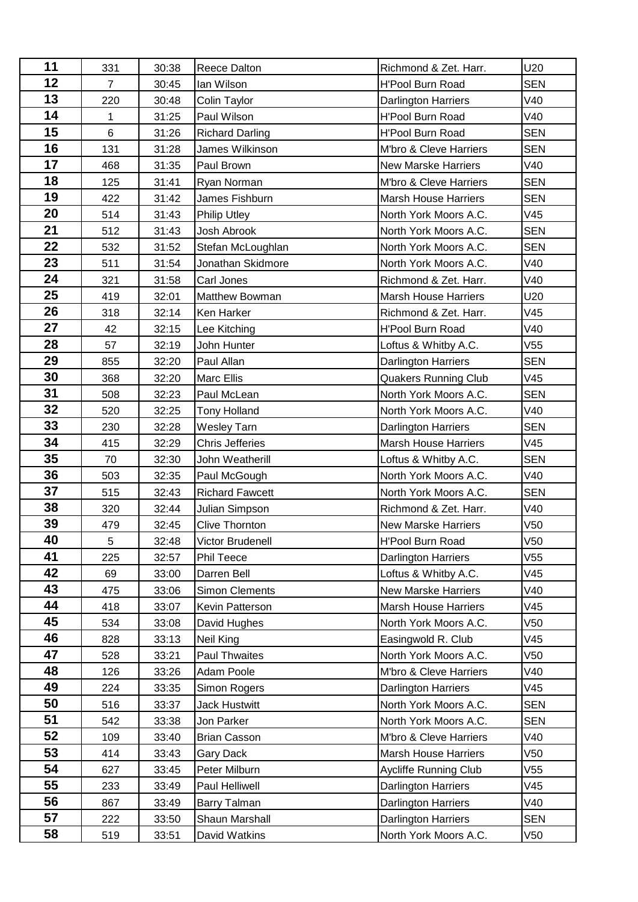| 11 | 331            | 30:38 | Reece Dalton           | Richmond & Zet. Harr.        | U20        |
|----|----------------|-------|------------------------|------------------------------|------------|
| 12 | $\overline{7}$ | 30:45 | lan Wilson             | <b>H'Pool Burn Road</b>      | <b>SEN</b> |
| 13 | 220            | 30:48 | Colin Taylor           | Darlington Harriers          | V40        |
| 14 | 1              | 31:25 | Paul Wilson            | <b>H'Pool Burn Road</b>      | V40        |
| 15 | 6              | 31:26 | <b>Richard Darling</b> | <b>H'Pool Burn Road</b>      | <b>SEN</b> |
| 16 | 131            | 31:28 | James Wilkinson        | M'bro & Cleve Harriers       | <b>SEN</b> |
| 17 | 468            | 31:35 | Paul Brown             | <b>New Marske Harriers</b>   | V40        |
| 18 | 125            | 31:41 | Ryan Norman            | M'bro & Cleve Harriers       | <b>SEN</b> |
| 19 | 422            | 31:42 | James Fishburn         | <b>Marsh House Harriers</b>  | <b>SEN</b> |
| 20 | 514            | 31:43 | <b>Philip Utley</b>    | North York Moors A.C.        | V45        |
| 21 | 512            | 31:43 | Josh Abrook            | North York Moors A.C.        | <b>SEN</b> |
| 22 | 532            | 31:52 | Stefan McLoughlan      | North York Moors A.C.        | <b>SEN</b> |
| 23 | 511            | 31:54 | Jonathan Skidmore      | North York Moors A.C.        | V40        |
| 24 | 321            | 31:58 | Carl Jones             | Richmond & Zet. Harr.        | V40        |
| 25 | 419            | 32:01 | Matthew Bowman         | <b>Marsh House Harriers</b>  | U20        |
| 26 | 318            | 32:14 | Ken Harker             | Richmond & Zet. Harr.        | V45        |
| 27 | 42             | 32:15 | Lee Kitching           | <b>H'Pool Burn Road</b>      | V40        |
| 28 | 57             | 32:19 | John Hunter            | Loftus & Whitby A.C.         | V55        |
| 29 | 855            | 32:20 | Paul Allan             | <b>Darlington Harriers</b>   | <b>SEN</b> |
| 30 | 368            | 32:20 | Marc Ellis             | <b>Quakers Running Club</b>  | V45        |
| 31 | 508            | 32:23 | Paul McLean            | North York Moors A.C.        | <b>SEN</b> |
| 32 | 520            | 32:25 | <b>Tony Holland</b>    | North York Moors A.C.        | V40        |
| 33 | 230            | 32:28 | <b>Wesley Tarn</b>     | Darlington Harriers          | <b>SEN</b> |
| 34 | 415            | 32:29 | <b>Chris Jefferies</b> | <b>Marsh House Harriers</b>  | V45        |
| 35 | 70             | 32:30 | John Weatherill        | Loftus & Whitby A.C.         | <b>SEN</b> |
| 36 | 503            | 32:35 | Paul McGough           | North York Moors A.C.        | V40        |
| 37 | 515            | 32:43 | <b>Richard Fawcett</b> | North York Moors A.C.        | <b>SEN</b> |
| 38 | 320            | 32:44 | Julian Simpson         | Richmond & Zet. Harr.        | V40        |
| 39 | 479            | 32:45 | Clive Thornton         | <b>New Marske Harriers</b>   | V50        |
| 40 | 5              | 32:48 | Victor Brudenell       | H'Pool Burn Road             | V50        |
| 41 | 225            | 32:57 | Phil Teece             | Darlington Harriers          | V55        |
| 42 | 69             | 33:00 | Darren Bell            | Loftus & Whitby A.C.         | V45        |
| 43 | 475            | 33:06 | <b>Simon Clements</b>  | <b>New Marske Harriers</b>   | V40        |
| 44 | 418            | 33:07 | Kevin Patterson        | <b>Marsh House Harriers</b>  | V45        |
| 45 | 534            | 33:08 | David Hughes           | North York Moors A.C.        | V50        |
| 46 | 828            | 33:13 | Neil King              | Easingwold R. Club           | V45        |
| 47 | 528            | 33:21 | <b>Paul Thwaites</b>   | North York Moors A.C.        | V50        |
| 48 | 126            | 33:26 | Adam Poole             | M'bro & Cleve Harriers       | V40        |
| 49 | 224            | 33:35 | Simon Rogers           | <b>Darlington Harriers</b>   | V45        |
| 50 | 516            | 33:37 | <b>Jack Hustwitt</b>   | North York Moors A.C.        | <b>SEN</b> |
| 51 | 542            | 33:38 | Jon Parker             | North York Moors A.C.        | <b>SEN</b> |
| 52 | 109            | 33:40 | <b>Brian Casson</b>    | M'bro & Cleve Harriers       | V40        |
| 53 | 414            | 33:43 | <b>Gary Dack</b>       | <b>Marsh House Harriers</b>  | V50        |
| 54 | 627            | 33:45 | Peter Milburn          | <b>Aycliffe Running Club</b> | V55        |
| 55 | 233            | 33:49 | Paul Helliwell         | Darlington Harriers          | V45        |
| 56 | 867            | 33:49 | Barry Talman           | Darlington Harriers          | V40        |
| 57 | 222            | 33:50 | Shaun Marshall         | Darlington Harriers          | <b>SEN</b> |
| 58 | 519            | 33:51 | David Watkins          | North York Moors A.C.        | V50        |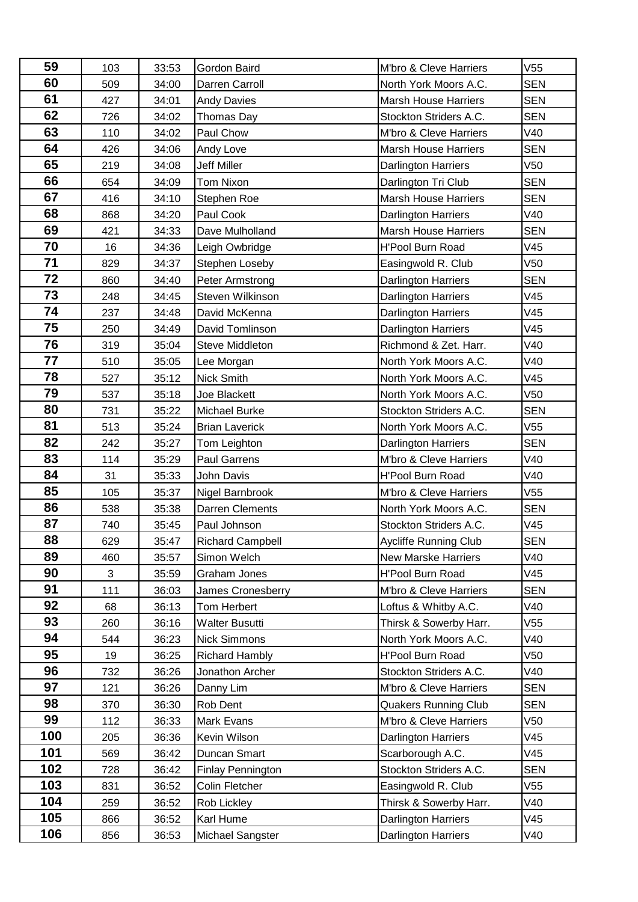| 59  | 103 | 33:53 | Gordon Baird             | M'bro & Cleve Harriers       | V <sub>55</sub> |
|-----|-----|-------|--------------------------|------------------------------|-----------------|
| 60  | 509 | 34:00 | Darren Carroll           | North York Moors A.C.        | <b>SEN</b>      |
| 61  | 427 | 34:01 | <b>Andy Davies</b>       | <b>Marsh House Harriers</b>  | <b>SEN</b>      |
| 62  | 726 | 34:02 | Thomas Day               | Stockton Striders A.C.       | <b>SEN</b>      |
| 63  | 110 | 34:02 | Paul Chow                | M'bro & Cleve Harriers       | V40             |
| 64  | 426 | 34:06 | Andy Love                | <b>Marsh House Harriers</b>  | <b>SEN</b>      |
| 65  | 219 | 34:08 | <b>Jeff Miller</b>       | <b>Darlington Harriers</b>   | V50             |
| 66  | 654 | 34:09 | <b>Tom Nixon</b>         | Darlington Tri Club          | <b>SEN</b>      |
| 67  | 416 | 34:10 | Stephen Roe              | <b>Marsh House Harriers</b>  | <b>SEN</b>      |
| 68  | 868 | 34:20 | Paul Cook                | Darlington Harriers          | V40             |
| 69  | 421 | 34:33 | Dave Mulholland          | <b>Marsh House Harriers</b>  | <b>SEN</b>      |
| 70  | 16  | 34:36 | Leigh Owbridge           | H'Pool Burn Road             | V45             |
| 71  | 829 | 34:37 | Stephen Loseby           | Easingwold R. Club           | V50             |
| 72  | 860 | 34:40 | Peter Armstrong          | Darlington Harriers          | <b>SEN</b>      |
| 73  | 248 | 34:45 | Steven Wilkinson         | Darlington Harriers          | V45             |
| 74  | 237 | 34:48 | David McKenna            | Darlington Harriers          | V45             |
| 75  | 250 | 34:49 | David Tomlinson          | <b>Darlington Harriers</b>   | V45             |
| 76  | 319 | 35:04 | Steve Middleton          | Richmond & Zet. Harr.        | V40             |
| 77  | 510 | 35:05 | Lee Morgan               | North York Moors A.C.        | V40             |
| 78  | 527 | 35:12 | Nick Smith               | North York Moors A.C.        | V45             |
| 79  | 537 | 35:18 | Joe Blackett             | North York Moors A.C.        | V50             |
| 80  | 731 | 35:22 | Michael Burke            | Stockton Striders A.C.       | <b>SEN</b>      |
| 81  | 513 | 35:24 | <b>Brian Laverick</b>    | North York Moors A.C.        | V55             |
| 82  | 242 | 35:27 | Tom Leighton             | <b>Darlington Harriers</b>   | <b>SEN</b>      |
| 83  | 114 | 35:29 | Paul Garrens             | M'bro & Cleve Harriers       | V40             |
| 84  | 31  | 35:33 | <b>John Davis</b>        | <b>H'Pool Burn Road</b>      | V40             |
| 85  | 105 | 35:37 | Nigel Barnbrook          | M'bro & Cleve Harriers       | V55             |
| 86  | 538 | 35:38 | Darren Clements          | North York Moors A.C.        | <b>SEN</b>      |
| 87  | 740 | 35:45 | Paul Johnson             | Stockton Striders A.C.       | V45             |
| 88  | 629 | 35:47 | <b>Richard Campbell</b>  | <b>Aycliffe Running Club</b> | SEN             |
| 89  | 460 | 35:57 | Simon Welch              | <b>New Marske Harriers</b>   | V40             |
| 90  | 3   | 35:59 | Graham Jones             | <b>H'Pool Burn Road</b>      | V45             |
| 91  | 111 | 36:03 | <b>James Cronesberry</b> | M'bro & Cleve Harriers       | <b>SEN</b>      |
| 92  | 68  | 36:13 | Tom Herbert              | Loftus & Whitby A.C.         | V40             |
| 93  | 260 | 36:16 | <b>Walter Busutti</b>    | Thirsk & Sowerby Harr.       | V55             |
| 94  | 544 | 36:23 | <b>Nick Simmons</b>      | North York Moors A.C.        | V40             |
| 95  | 19  | 36:25 | <b>Richard Hambly</b>    | <b>H'Pool Burn Road</b>      | V50             |
| 96  | 732 | 36:26 | Jonathon Archer          | Stockton Striders A.C.       | V40             |
| 97  | 121 | 36:26 | Danny Lim                | M'bro & Cleve Harriers       | <b>SEN</b>      |
| 98  | 370 | 36:30 | Rob Dent                 | <b>Quakers Running Club</b>  | <b>SEN</b>      |
| 99  | 112 | 36:33 | Mark Evans               | M'bro & Cleve Harriers       | V50             |
| 100 | 205 | 36:36 | Kevin Wilson             | Darlington Harriers          | V45             |
| 101 | 569 | 36:42 | Duncan Smart             | Scarborough A.C.             | V45             |
| 102 | 728 | 36:42 | <b>Finlay Pennington</b> | Stockton Striders A.C.       | <b>SEN</b>      |
| 103 | 831 | 36:52 | Colin Fletcher           | Easingwold R. Club           | V55             |
| 104 | 259 | 36:52 | Rob Lickley              | Thirsk & Sowerby Harr.       | V40             |
| 105 | 866 | 36:52 | Karl Hume                | <b>Darlington Harriers</b>   | V45             |
| 106 | 856 | 36:53 | Michael Sangster         | Darlington Harriers          | V40             |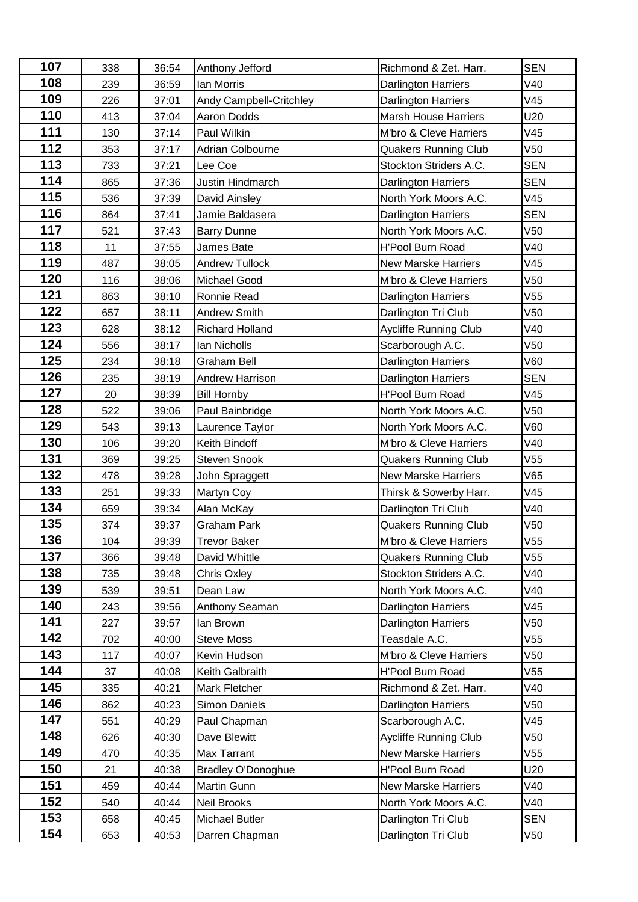| 107 | 338 | 36:54 | Anthony Jefford           | Richmond & Zet. Harr.       | <b>SEN</b>      |
|-----|-----|-------|---------------------------|-----------------------------|-----------------|
| 108 | 239 | 36:59 | lan Morris                | <b>Darlington Harriers</b>  | V40             |
| 109 | 226 | 37:01 | Andy Campbell-Critchley   | Darlington Harriers         | V45             |
| 110 | 413 | 37:04 | Aaron Dodds               | <b>Marsh House Harriers</b> | U20             |
| 111 | 130 | 37:14 | Paul Wilkin               | M'bro & Cleve Harriers      | V45             |
| 112 | 353 | 37:17 | <b>Adrian Colbourne</b>   | <b>Quakers Running Club</b> | V50             |
| 113 | 733 | 37:21 | Lee Coe                   | Stockton Striders A.C.      | <b>SEN</b>      |
| 114 | 865 | 37:36 | Justin Hindmarch          | <b>Darlington Harriers</b>  | <b>SEN</b>      |
| 115 | 536 | 37:39 | David Ainsley             | North York Moors A.C.       | V45             |
| 116 | 864 | 37:41 | Jamie Baldasera           | Darlington Harriers         | <b>SEN</b>      |
| 117 | 521 | 37:43 | <b>Barry Dunne</b>        | North York Moors A.C.       | V <sub>50</sub> |
| 118 | 11  | 37:55 | James Bate                | <b>H'Pool Burn Road</b>     | V40             |
| 119 | 487 | 38:05 | <b>Andrew Tullock</b>     | <b>New Marske Harriers</b>  | V45             |
| 120 | 116 | 38:06 | <b>Michael Good</b>       | M'bro & Cleve Harriers      | V <sub>50</sub> |
| 121 | 863 | 38:10 | Ronnie Read               | Darlington Harriers         | V55             |
| 122 | 657 | 38:11 | <b>Andrew Smith</b>       | Darlington Tri Club         | V50             |
| 123 | 628 | 38:12 | Richard Holland           | Aycliffe Running Club       | V40             |
| 124 | 556 | 38:17 | Ian Nicholls              | Scarborough A.C.            | V <sub>50</sub> |
| 125 | 234 | 38:18 | Graham Bell               | Darlington Harriers         | V60             |
| 126 | 235 | 38:19 | Andrew Harrison           | Darlington Harriers         | <b>SEN</b>      |
| 127 | 20  | 38:39 | <b>Bill Hornby</b>        | H'Pool Burn Road            | V45             |
| 128 | 522 | 39:06 | Paul Bainbridge           | North York Moors A.C.       | V <sub>50</sub> |
| 129 | 543 | 39:13 | Laurence Taylor           | North York Moors A.C.       | V60             |
| 130 | 106 | 39:20 | Keith Bindoff             | M'bro & Cleve Harriers      | V40             |
| 131 | 369 | 39:25 | <b>Steven Snook</b>       | <b>Quakers Running Club</b> | V55             |
| 132 | 478 | 39:28 | John Spraggett            | <b>New Marske Harriers</b>  | V65             |
| 133 | 251 | 39:33 | Martyn Coy                | Thirsk & Sowerby Harr.      | V45             |
| 134 | 659 | 39:34 | Alan McKay                | Darlington Tri Club         | V40             |
| 135 | 374 | 39:37 | Graham Park               | Quakers Running Club        | V50             |
| 136 | 104 | 39:39 | Trevor Baker              | M'bro & Cleve Harriers      | V55             |
| 137 | 366 | 39:48 | David Whittle             | <b>Quakers Running Club</b> | V55             |
| 138 | 735 | 39:48 | Chris Oxley               | Stockton Striders A.C.      | V40             |
| 139 | 539 | 39:51 | Dean Law                  | North York Moors A.C.       | V40             |
| 140 | 243 | 39:56 | Anthony Seaman            | Darlington Harriers         | V45             |
| 141 | 227 | 39:57 | lan Brown                 | Darlington Harriers         | V50             |
| 142 | 702 | 40:00 | <b>Steve Moss</b>         | Teasdale A.C.               | V55             |
| 143 | 117 | 40:07 | Kevin Hudson              | M'bro & Cleve Harriers      | V50             |
| 144 | 37  | 40:08 | Keith Galbraith           | <b>H'Pool Burn Road</b>     | V55             |
| 145 | 335 | 40:21 | Mark Fletcher             | Richmond & Zet. Harr.       | V40             |
| 146 | 862 | 40:23 | Simon Daniels             | Darlington Harriers         | V50             |
| 147 | 551 | 40:29 | Paul Chapman              | Scarborough A.C.            | V45             |
| 148 | 626 | 40:30 | Dave Blewitt              | Aycliffe Running Club       | V50             |
| 149 | 470 | 40:35 | Max Tarrant               | <b>New Marske Harriers</b>  | V55             |
| 150 | 21  | 40:38 | <b>Bradley O'Donoghue</b> | <b>H'Pool Burn Road</b>     | U20             |
| 151 | 459 | 40:44 | Martin Gunn               | <b>New Marske Harriers</b>  | V40             |
| 152 | 540 | 40:44 | <b>Neil Brooks</b>        | North York Moors A.C.       | V40             |
| 153 | 658 | 40:45 | <b>Michael Butler</b>     | Darlington Tri Club         | <b>SEN</b>      |
| 154 | 653 | 40:53 | Darren Chapman            | Darlington Tri Club         | V50             |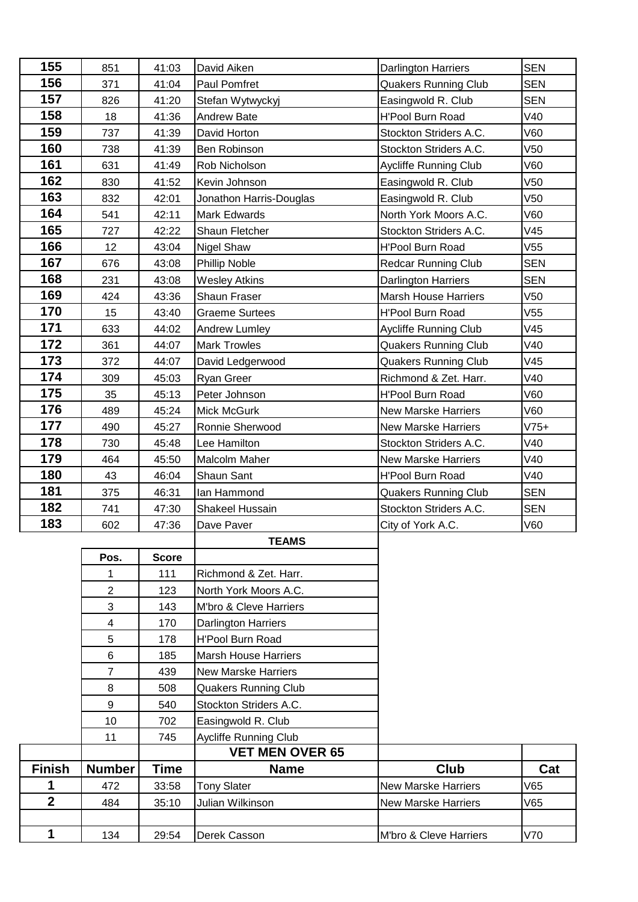| 155                 | 851            | 41:03        | David Aiken                  | <b>Darlington Harriers</b>   | <b>SEN</b> |
|---------------------|----------------|--------------|------------------------------|------------------------------|------------|
| 156                 | 371            | 41:04        | Paul Pomfret                 | <b>Quakers Running Club</b>  | <b>SEN</b> |
| 157                 | 826            | 41:20        | Stefan Wytwyckyj             | Easingwold R. Club           | <b>SEN</b> |
| 158                 | 18             | 41:36        | <b>Andrew Bate</b>           | H'Pool Burn Road             | V40        |
| 159                 | 737            | 41:39        | David Horton                 | Stockton Striders A.C.       | V60        |
| 160                 | 738            | 41:39        | Ben Robinson                 | Stockton Striders A.C.       | V50        |
| 161                 | 631            | 41:49        | Rob Nicholson                | <b>Aycliffe Running Club</b> | V60        |
| 162                 | 830            | 41:52        | Kevin Johnson                | Easingwold R. Club           | V50        |
| 163                 | 832            | 42:01        | Jonathon Harris-Douglas      | Easingwold R. Club           | V50        |
| 164                 | 541            | 42:11        | <b>Mark Edwards</b>          | North York Moors A.C.        | V60        |
| 165                 | 727            | 42:22        | Shaun Fletcher               | Stockton Striders A.C.       | V45        |
| 166                 | 12             | 43:04        | Nigel Shaw                   | H'Pool Burn Road             | V55        |
| 167                 | 676            | 43:08        | <b>Phillip Noble</b>         | <b>Redcar Running Club</b>   | <b>SEN</b> |
| 168                 | 231            | 43:08        | <b>Wesley Atkins</b>         | <b>Darlington Harriers</b>   | <b>SEN</b> |
| 169                 | 424            | 43:36        | Shaun Fraser                 | <b>Marsh House Harriers</b>  | V50        |
| 170                 | 15             | 43:40        | <b>Graeme Surtees</b>        | H'Pool Burn Road             | V55        |
| 171                 | 633            | 44:02        | Andrew Lumley                | Aycliffe Running Club        | V45        |
| 172                 | 361            | 44:07        | <b>Mark Trowles</b>          | <b>Quakers Running Club</b>  | V40        |
| 173                 | 372            | 44:07        | David Ledgerwood             | <b>Quakers Running Club</b>  | V45        |
| 174                 | 309            | 45:03        | Ryan Greer                   | Richmond & Zet. Harr.        | V40        |
| 175                 | 35             | 45:13        | Peter Johnson                | <b>H'Pool Burn Road</b>      | V60        |
| 176                 | 489            | 45:24        | Mick McGurk                  | <b>New Marske Harriers</b>   | V60        |
| 177                 | 490            | 45:27        | Ronnie Sherwood              | <b>New Marske Harriers</b>   | $V75+$     |
| 178                 | 730            | 45:48        | Lee Hamilton                 | Stockton Striders A.C.       | V40        |
| 179                 | 464            | 45:50        | Malcolm Maher                | <b>New Marske Harriers</b>   | V40        |
| 180                 | 43             | 46:04        | Shaun Sant                   | <b>H'Pool Burn Road</b>      | V40        |
| 181                 | 375            | 46:31        | Ian Hammond                  | <b>Quakers Running Club</b>  | <b>SEN</b> |
| 182                 | 741            | 47:30        | Shakeel Hussain              | Stockton Striders A.C.       | <b>SEN</b> |
| 183                 | 602            | 47:36        | Dave Paver                   | City of York A.C.            | V60        |
|                     |                |              | <b>TEAMS</b>                 |                              |            |
|                     | Pos.           | <b>Score</b> |                              |                              |            |
|                     | 1              | 111          | Richmond & Zet. Harr.        |                              |            |
|                     | $\overline{2}$ | 123          | North York Moors A.C.        |                              |            |
|                     | 3              | 143          | M'bro & Cleve Harriers       |                              |            |
|                     | 4              | 170          | Darlington Harriers          |                              |            |
|                     | 5              | 178          | H'Pool Burn Road             |                              |            |
|                     | 6              | 185          | <b>Marsh House Harriers</b>  |                              |            |
|                     | $\overline{7}$ | 439          | <b>New Marske Harriers</b>   |                              |            |
|                     | 8              | 508          | <b>Quakers Running Club</b>  |                              |            |
|                     | 9              | 540          | Stockton Striders A.C.       |                              |            |
|                     | 10             | 702          | Easingwold R. Club           |                              |            |
|                     | 11             | 745          | <b>Aycliffe Running Club</b> |                              |            |
|                     |                |              | <b>VET MEN OVER 65</b>       |                              |            |
| <b>Finish</b>       | <b>Number</b>  | <b>Time</b>  | <b>Name</b>                  | Club                         | Cat        |
| 1<br>$\overline{2}$ | 472            | 33:58        | <b>Tony Slater</b>           | <b>New Marske Harriers</b>   | V65        |
|                     | 484            | 35:10        | Julian Wilkinson             | <b>New Marske Harriers</b>   | V65        |
|                     |                |              |                              |                              |            |
| 1                   | 134            | 29:54        | Derek Casson                 | M'bro & Cleve Harriers       | V70        |